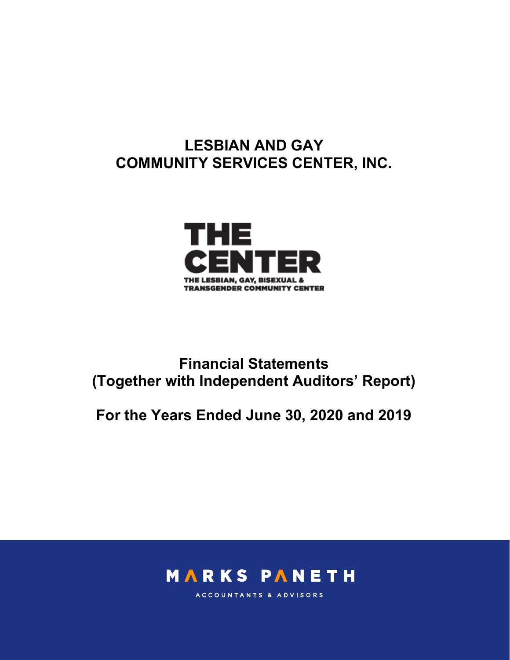# LESBIAN AND GAY COMMUNITY SERVICES CENTER, INC.



# Financial Statements (Together with Independent Auditors' Report)

For the Years Ended June 30, 2020 and 2019



ACCOUNTANTS & ADVISORS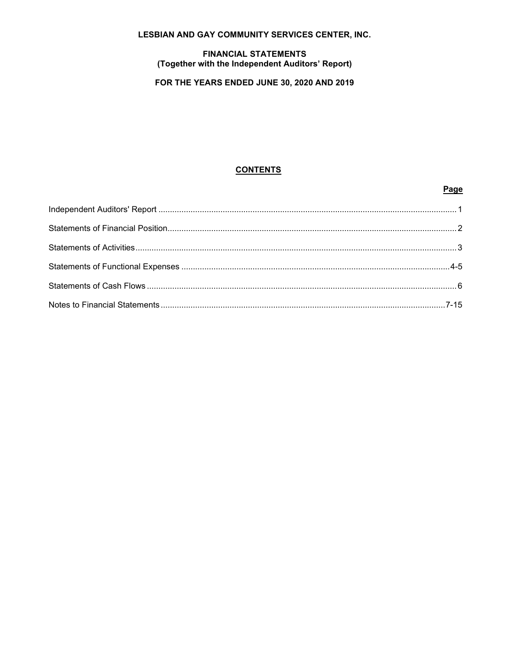# **LESBIAN AND GAY COMMUNITY SERVICES CENTER, INC.**

#### **FINANCIAL STATEMENTS** (Together with the Independent Auditors' Report)

# FOR THE YEARS ENDED JUNE 30, 2020 AND 2019

## **CONTENTS**

Page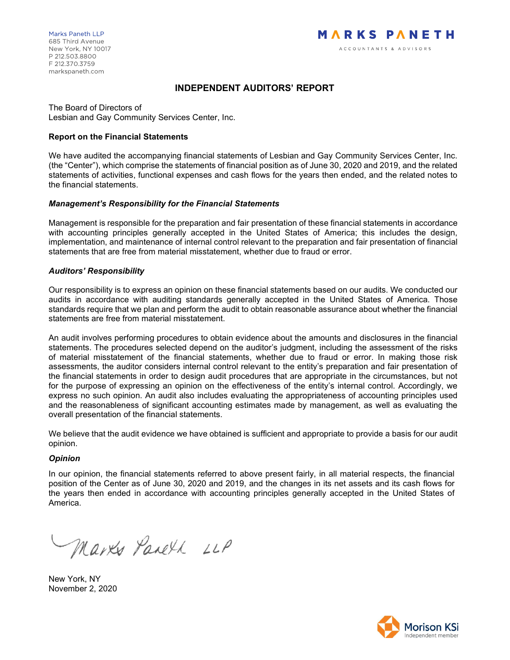## INDEPENDENT AUDITORS' REPORT

The Board of Directors of Lesbian and Gay Community Services Center, Inc.

#### Report on the Financial Statements

We have audited the accompanying financial statements of Lesbian and Gay Community Services Center, Inc. (the "Center"), which comprise the statements of financial position as of June 30, 2020 and 2019, and the related statements of activities, functional expenses and cash flows for the years then ended, and the related notes to the financial statements.

#### Management's Responsibility for the Financial Statements

Management is responsible for the preparation and fair presentation of these financial statements in accordance with accounting principles generally accepted in the United States of America; this includes the design, implementation, and maintenance of internal control relevant to the preparation and fair presentation of financial statements that are free from material misstatement, whether due to fraud or error.

#### Auditors' Responsibility

Our responsibility is to express an opinion on these financial statements based on our audits. We conducted our audits in accordance with auditing standards generally accepted in the United States of America. Those standards require that we plan and perform the audit to obtain reasonable assurance about whether the financial statements are free from material misstatement.

An audit involves performing procedures to obtain evidence about the amounts and disclosures in the financial statements. The procedures selected depend on the auditor's judgment, including the assessment of the risks of material misstatement of the financial statements, whether due to fraud or error. In making those risk assessments, the auditor considers internal control relevant to the entity's preparation and fair presentation of the financial statements in order to design audit procedures that are appropriate in the circumstances, but not for the purpose of expressing an opinion on the effectiveness of the entity's internal control. Accordingly, we express no such opinion. An audit also includes evaluating the appropriateness of accounting principles used and the reasonableness of significant accounting estimates made by management, as well as evaluating the overall presentation of the financial statements.

We believe that the audit evidence we have obtained is sufficient and appropriate to provide a basis for our audit opinion.

#### **Opinion**

In our opinion, the financial statements referred to above present fairly, in all material respects, the financial position of the Center as of June 30, 2020 and 2019, and the changes in its net assets and its cash flows for the years then ended in accordance with accounting principles generally accepted in the United States of America.

Marks Pareth LLP

New York, NY November 2, 2020

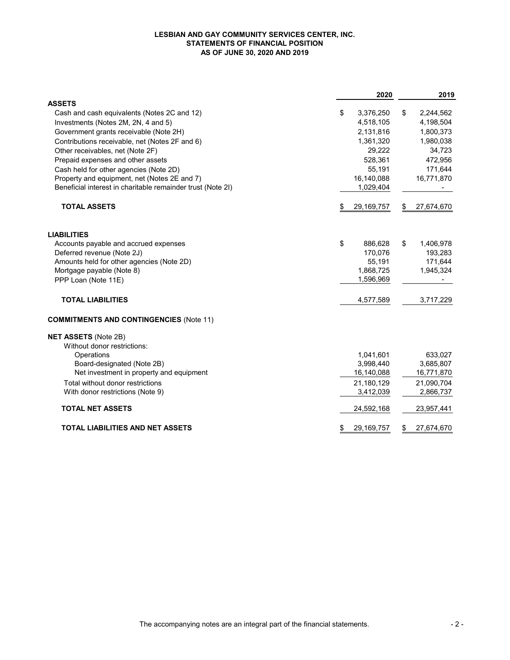#### LESBIAN AND GAY COMMUNITY SERVICES CENTER, INC. STATEMENTS OF FINANCIAL POSITION AS OF JUNE 30, 2020 AND 2019

|                                                             | 2020               | 2019             |
|-------------------------------------------------------------|--------------------|------------------|
| <b>ASSETS</b>                                               |                    |                  |
| Cash and cash equivalents (Notes 2C and 12)                 | \$<br>3,376,250    | \$<br>2,244,562  |
| Investments (Notes 2M, 2N, 4 and 5)                         | 4,518,105          | 4,198,504        |
| Government grants receivable (Note 2H)                      | 2,131,816          | 1,800,373        |
| Contributions receivable, net (Notes 2F and 6)              | 1,361,320          | 1,980,038        |
| Other receivables, net (Note 2F)                            | 29,222             | 34,723           |
| Prepaid expenses and other assets                           | 528,361            | 472,956          |
| Cash held for other agencies (Note 2D)                      | 55,191             | 171,644          |
| Property and equipment, net (Notes 2E and 7)                | 16,140,088         | 16,771,870       |
| Beneficial interest in charitable remainder trust (Note 2I) | 1,029,404          |                  |
| <b>TOTAL ASSETS</b>                                         | \$<br>29,169,757   | \$<br>27,674,670 |
| <b>LIABILITIES</b>                                          |                    |                  |
| Accounts payable and accrued expenses                       | \$<br>886,628      | \$<br>1,406,978  |
| Deferred revenue (Note 2J)                                  | 170,076            | 193,283          |
| Amounts held for other agencies (Note 2D)                   | 55,191             | 171,644          |
| Mortgage payable (Note 8)                                   | 1,868,725          | 1,945,324        |
| PPP Loan (Note 11E)                                         | 1,596,969          |                  |
| <b>TOTAL LIABILITIES</b>                                    | 4,577,589          | 3,717,229        |
| <b>COMMITMENTS AND CONTINGENCIES (Note 11)</b>              |                    |                  |
| <b>NET ASSETS (Note 2B)</b>                                 |                    |                  |
| Without donor restrictions:                                 |                    |                  |
| Operations                                                  | 1,041,601          | 633,027          |
| Board-designated (Note 2B)                                  | 3,998,440          | 3,685,807        |
| Net investment in property and equipment                    | 16,140,088         | 16,771,870       |
| Total without donor restrictions                            | 21,180,129         | 21,090,704       |
| With donor restrictions (Note 9)                            | 3,412,039          | 2,866,737        |
| <b>TOTAL NET ASSETS</b>                                     | 24,592,168         | 23,957,441       |
| <b>TOTAL LIABILITIES AND NET ASSETS</b>                     | \$<br>29, 169, 757 | \$<br>27,674,670 |
|                                                             |                    |                  |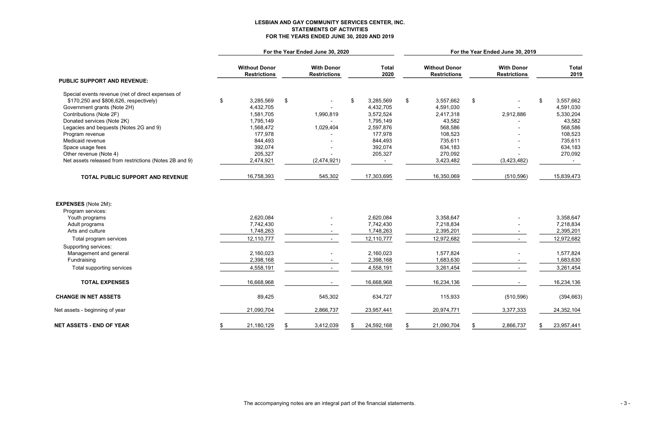# LESBIAN AND GAY COMMUNITY SERVICES CENTER, INC. STATEMENTS OF ACTIVITIES FOR THE YEARS ENDED JUNE 30, 2020 AND 2019

|                                                        |                                             | For the Year Ended June 30, 2020 |                                          |    |                      | For the Year Ended June 30, 2019 |                                             |    |                                          |    |                      |  |  |
|--------------------------------------------------------|---------------------------------------------|----------------------------------|------------------------------------------|----|----------------------|----------------------------------|---------------------------------------------|----|------------------------------------------|----|----------------------|--|--|
| <b>PUBLIC SUPPORT AND REVENUE:</b>                     | <b>Without Donor</b><br><b>Restrictions</b> |                                  | <b>With Donor</b><br><b>Restrictions</b> |    | <b>Total</b><br>2020 |                                  | <b>Without Donor</b><br><b>Restrictions</b> |    | <b>With Donor</b><br><b>Restrictions</b> |    | <b>Total</b><br>2019 |  |  |
|                                                        |                                             |                                  |                                          |    |                      |                                  |                                             |    |                                          |    |                      |  |  |
| Special events revenue (net of direct expenses of      |                                             |                                  |                                          |    |                      |                                  |                                             |    |                                          |    |                      |  |  |
| \$170,250 and \$806,626, respectively)                 | \$<br>3,285,569                             | \$                               |                                          | \$ | 3,285,569            | \$                               | 3,557,662                                   | \$ |                                          | \$ | 3,557,662            |  |  |
| Government grants (Note 2H)                            | 4,432,705                                   |                                  | $\sim$                                   |    | 4,432,705            |                                  | 4,591,030                                   |    |                                          |    | 4,591,030            |  |  |
| Contributions (Note 2F)                                | 1,581,705                                   |                                  | 1,990,819                                |    | 3,572,524            |                                  | 2,417,318                                   |    | 2,912,886                                |    | 5,330,204            |  |  |
| Donated services (Note 2K)                             | 1,795,149                                   |                                  |                                          |    | 1,795,149            |                                  | 43,582                                      |    |                                          |    | 43,582               |  |  |
| Legacies and bequests (Notes 2G and 9)                 | 1,568,472                                   |                                  | 1,029,404                                |    | 2,597,876            |                                  | 568,586                                     |    |                                          |    | 568,586              |  |  |
| Program revenue                                        | 177,978                                     |                                  |                                          |    | 177,978              |                                  | 108,523                                     |    |                                          |    | 108,523              |  |  |
| Medicaid revenue                                       | 844,493                                     |                                  |                                          |    | 844,493              |                                  | 735,611                                     |    |                                          |    | 735,611              |  |  |
| Space usage fees                                       | 392,074                                     |                                  |                                          |    | 392,074              |                                  | 634,183                                     |    |                                          |    | 634,183              |  |  |
| Other revenue (Note 4)                                 | 205,327                                     |                                  |                                          |    | 205,327              |                                  | 270,092                                     |    |                                          |    | 270,092              |  |  |
| Net assets released from restrictions (Notes 2B and 9) | 2,474,921                                   |                                  | (2,474,921)                              |    |                      |                                  | 3,423,482                                   |    | (3,423,482)                              |    |                      |  |  |
| TOTAL PUBLIC SUPPORT AND REVENUE                       | 16,758,393                                  |                                  | 545,302                                  |    | 17,303,695           |                                  | 16,350,069                                  |    | (510, 596)                               |    | 15,839,473           |  |  |
| <b>EXPENSES</b> (Note 2M):<br>Program services:        |                                             |                                  |                                          |    |                      |                                  |                                             |    |                                          |    |                      |  |  |
| Youth programs                                         | 2,620,084                                   |                                  |                                          |    | 2,620,084            |                                  | 3,358,647                                   |    |                                          |    | 3,358,647            |  |  |
| Adult programs                                         | 7,742,430                                   |                                  |                                          |    | 7,742,430            |                                  | 7,218,834                                   |    |                                          |    | 7,218,834            |  |  |
| Arts and culture                                       | 1,748,263                                   |                                  |                                          |    | 1,748,263            |                                  | 2,395,201                                   |    |                                          |    | 2,395,201            |  |  |
| Total program services                                 | 12,110,777                                  |                                  |                                          |    | 12,110,777           |                                  | 12,972,682                                  |    |                                          |    | 12,972,682           |  |  |
|                                                        |                                             |                                  |                                          |    |                      |                                  |                                             |    |                                          |    |                      |  |  |
| Supporting services:<br>Management and general         | 2,160,023                                   |                                  |                                          |    | 2,160,023            |                                  | 1,577,824                                   |    |                                          |    | 1,577,824            |  |  |
| Fundraising                                            | 2,398,168                                   |                                  |                                          |    | 2,398,168            |                                  | 1,683,630                                   |    |                                          |    | 1,683,630            |  |  |
|                                                        |                                             |                                  |                                          |    |                      |                                  |                                             |    |                                          |    |                      |  |  |
| Total supporting services                              | 4,558,191                                   |                                  |                                          |    | 4,558,191            |                                  | 3,261,454                                   |    |                                          |    | 3,261,454            |  |  |
| <b>TOTAL EXPENSES</b>                                  | 16,668,968                                  |                                  |                                          |    | 16,668,968           |                                  | 16,234,136                                  |    |                                          |    | 16,234,136           |  |  |
| <b>CHANGE IN NET ASSETS</b>                            | 89,425                                      |                                  | 545,302                                  |    | 634,727              |                                  | 115,933                                     |    | (510, 596)                               |    | (394, 663)           |  |  |
| Net assets - beginning of year                         | 21,090,704                                  |                                  | 2,866,737                                |    | 23,957,441           |                                  | 20,974,771                                  |    | 3,377,333                                |    | 24,352,104           |  |  |
| <b>NET ASSETS - END OF YEAR</b>                        | 21,180,129<br>\$                            | - 5                              | 3,412,039                                | S. | 24,592,168           | \$                               | 21,090,704                                  |    | 2,866,737                                | \$ | 23,957,441           |  |  |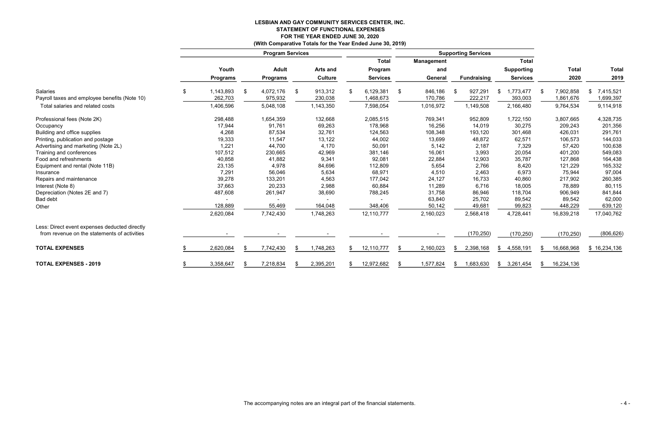# LESBIAN AND GAY COMMUNITY SERVICES CENTER, INC. STATEMENT OF FUNCTIONAL EXPENSES FOR THE YEAR ENDED JUNE 30, 2020 (With Comparative Totals for the Year Ended June 30, 2019)

|                                               |                 |      | <b>Program Services</b> |     |                |                 |                   |    | <b>Supporting Services</b> |                   |   |              |              |
|-----------------------------------------------|-----------------|------|-------------------------|-----|----------------|-----------------|-------------------|----|----------------------------|-------------------|---|--------------|--------------|
|                                               |                 |      |                         |     |                | <b>Total</b>    | <b>Management</b> |    |                            | <b>Total</b>      |   |              |              |
|                                               | Youth           |      | <b>Adult</b>            |     | Arts and       | Program         | and               |    |                            | <b>Supporting</b> |   | <b>Total</b> | <b>Total</b> |
|                                               | <b>Programs</b> |      | <b>Programs</b>         |     | <b>Culture</b> | <b>Services</b> | General           |    | <b>Fundraising</b>         | <b>Services</b>   |   | 2020         | 2019         |
| Salaries                                      | \$<br>1,143,893 | -\$  | 4,072,176               | \$  | 913,312        | 6,129,381       | \$<br>846,186     |    | 927,291                    | \$<br>1,773,477   |   | 7,902,858    | 7,415,521    |
| Payroll taxes and employee benefits (Note 10) | 262,703         |      | 975,932                 |     | 230,038        | 1,468,673       | 170,786           |    | 222,217                    | 393,003           |   | 1,861,676    | 1,699,397    |
| Total salaries and related costs              | 1,406,596       |      | 5,048,108               |     | 1,143,350      | 7,598,054       | 1,016,972         |    | 1,149,508                  | 2,166,480         |   | 9,764,534    | 9,114,918    |
| Professional fees (Note 2K)                   | 298,488         |      | 1,654,359               |     | 132,668        | 2,085,515       | 769,341           |    | 952,809                    | 1,722,150         |   | 3,807,665    | 4,328,735    |
| Occupancy                                     | 17,944          |      | 91,761                  |     | 69,263         | 178,968         | 16,256            |    | 14,019                     | 30,275            |   | 209,243      | 201,356      |
| Building and office supplies                  | 4,268           |      | 87,534                  |     | 32,761         | 124,563         | 108,348           |    | 193,120                    | 301,468           |   | 426,031      | 291,761      |
| Printing, publication and postage             | 19,333          |      | 11,547                  |     | 13,122         | 44,002          | 13,699            |    | 48,872                     | 62,571            |   | 106,573      | 144,033      |
| Advertising and marketing (Note 2L)           | 1,221           |      | 44,700                  |     | 4,170          | 50,091          | 5,142             |    | 2,187                      | 7,329             |   | 57,420       | 100,638      |
| Training and conferences                      | 107,512         |      | 230,665                 |     | 42,969         | 381,146         | 16,061            |    | 3,993                      | 20,054            |   | 401,200      | 549,083      |
| Food and refreshments                         | 40,858          |      | 41,882                  |     | 9,341          | 92,081          | 22,884            |    | 12,903                     | 35,787            |   | 127,868      | 164,438      |
| Equipment and rental (Note 11B)               | 23,135          |      | 4,978                   |     | 84,696         | 112,809         | 5,654             |    | 2,766                      | 8,420             |   | 121,229      | 165,332      |
| Insurance                                     | 7,291           |      | 56,046                  |     | 5,634          | 68,971          | 4,510             |    | 2,463                      | 6,973             |   | 75,944       | 97,004       |
| Repairs and maintenance                       | 39,278          |      | 133,201                 |     | 4,563          | 177,042         | 24,127            |    | 16,733                     | 40,860            |   | 217,902      | 260,385      |
| Interest (Note 8)                             | 37,663          |      | 20,233                  |     | 2,988          | 60,884          | 11,289            |    | 6,716                      | 18,005            |   | 78,889       | 80,115       |
| Depreciation (Notes 2E and 7)                 | 487,608         |      | 261,947                 |     | 38,690         | 788,245         | 31,758            |    | 86,946                     | 118,704           |   | 906,949      | 841,844      |
| <b>Bad debt</b>                               |                 |      |                         |     |                |                 | 63,840            |    | 25,702                     | 89,542            |   | 89,542       | 62,000       |
| Other                                         | 128,889         |      | 55,469                  |     | 164,048        | 348,406         | 50,142            |    | 49,681                     | 99,823            |   | 448,229      | 639,120      |
|                                               | 2,620,084       |      | 7,742,430               |     | 1,748,263      | 12,110,777      | 2,160,023         |    | 2,568,418                  | 4,728,441         |   | 16,839,218   | 17,040,762   |
| Less: Direct event expenses deducted directly |                 |      |                         |     |                |                 |                   |    |                            |                   |   |              |              |
| from revenue on the statements of activities  |                 |      |                         |     |                |                 |                   |    | (170, 250)                 | (170, 250)        |   | (170, 250)   | (806, 626)   |
| <b>TOTAL EXPENSES</b>                         | 2,620,084       | - \$ | 7,742,430               | \$. | 1,748,263      | 12,110,777      | \$<br>2,160,023   | -S | 2,398,168                  | \$<br>4,558,191   | S | 16,668,968   | \$16,234,136 |
| <b>TOTAL EXPENSES - 2019</b>                  | 3,358,647       |      | 7,218,834               | \$. | 2,395,201      | 12,972,682      | 1,577,824         |    | 1,683,630                  | \$<br>3,261,454   | S | 16,234,136   |              |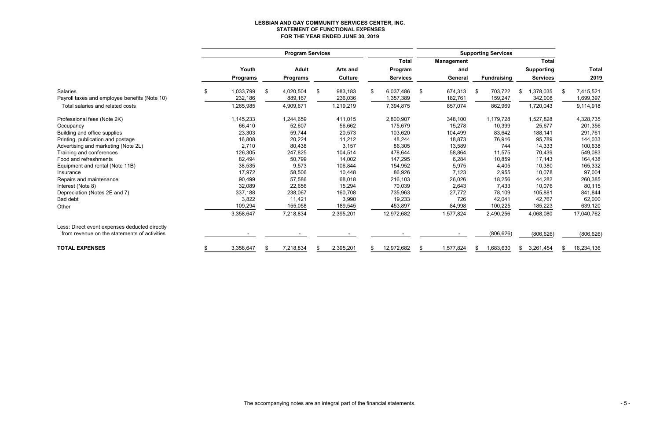# LESBIAN AND GAY COMMUNITY SERVICES CENTER, INC. STATEMENT OF FUNCTIONAL EXPENSES FOR THE YEAR ENDED JUNE 30, 2019

|                                               |    | <b>Program Services</b> |    |                 |     |                 | <b>Supporting Services</b> |    |                   |     |                    |    |                   |      |              |
|-----------------------------------------------|----|-------------------------|----|-----------------|-----|-----------------|----------------------------|----|-------------------|-----|--------------------|----|-------------------|------|--------------|
|                                               |    |                         |    |                 |     |                 | <b>Total</b>               |    | <b>Management</b> |     |                    |    | <b>Total</b>      |      |              |
|                                               |    | Youth                   |    | <b>Adult</b>    |     | <b>Arts and</b> | Program                    |    | and               |     |                    |    | <b>Supporting</b> |      | <b>Total</b> |
|                                               |    | <b>Programs</b>         |    | <b>Programs</b> |     | <b>Culture</b>  | <b>Services</b>            |    | General           |     | <b>Fundraising</b> |    | <b>Services</b>   |      | 2019         |
| <b>Salaries</b>                               | \$ | 1,033,799               | \$ | 4,020,504       | -\$ | 983,183         | \$<br>6,037,486            | \$ | 674,313           | \$  | 703,722            | \$ | 1,378,035         | - 35 | 7,415,521    |
| Payroll taxes and employee benefits (Note 10) |    | 232,186                 |    | 889,167         |     | 236,036         | 1,357,389                  |    | 182,761           |     | 159,247            |    | 342,008           |      | 1,699,397    |
| Total salaries and related costs              |    | 1,265,985               |    | 4,909,671       |     | 1,219,219       | 7,394,875                  |    | 857,074           |     | 862,969            |    | 1,720,043         |      | 9,114,918    |
| Professional fees (Note 2K)                   |    | 1,145,233               |    | 1,244,659       |     | 411,015         | 2,800,907                  |    | 348,100           |     | 1,179,728          |    | 1,527,828         |      | 4,328,735    |
| Occupancy                                     |    | 66,410                  |    | 52,607          |     | 56,662          | 175,679                    |    | 15,278            |     | 10,399             |    | 25,677            |      | 201,356      |
| Building and office supplies                  |    | 23,303                  |    | 59,744          |     | 20,573          | 103,620                    |    | 104,499           |     | 83,642             |    | 188,141           |      | 291,761      |
| Printing, publication and postage             |    | 16,808                  |    | 20,224          |     | 11,212          | 48,244                     |    | 18,873            |     | 76,916             |    | 95,789            |      | 144,033      |
| Advertising and marketing (Note 2L)           |    | 2,710                   |    | 80,438          |     | 3,157           | 86,305                     |    | 13,589            |     | 744                |    | 14,333            |      | 100,638      |
| Training and conferences                      |    | 126,305                 |    | 247,825         |     | 104,514         | 478,644                    |    | 58,864            |     | 11,575             |    | 70,439            |      | 549,083      |
| Food and refreshments                         |    | 82,494                  |    | 50,799          |     | 14,002          | 147,295                    |    | 6,284             |     | 10,859             |    | 17,143            |      | 164,438      |
| Equipment and rental (Note 11B)               |    | 38,535                  |    | 9,573           |     | 106,844         | 154,952                    |    | 5,975             |     | 4,405              |    | 10,380            |      | 165,332      |
| Insurance                                     |    | 17,972                  |    | 58,506          |     | 10,448          | 86,926                     |    | 7,123             |     | 2,955              |    | 10,078            |      | 97,004       |
| Repairs and maintenance                       |    | 90,499                  |    | 57,586          |     | 68,018          | 216,103                    |    | 26,026            |     | 18,256             |    | 44,282            |      | 260,385      |
| Interest (Note 8)                             |    | 32,089                  |    | 22,656          |     | 15,294          | 70,039                     |    | 2,643             |     | 7,433              |    | 10,076            |      | 80,115       |
| Depreciation (Notes 2E and 7)                 |    | 337,188                 |    | 238,067         |     | 160,708         | 735,963                    |    | 27,772            |     | 78,109             |    | 105,881           |      | 841,844      |
| <b>Bad debt</b>                               |    | 3,822                   |    | 11,421          |     | 3,990           | 19,233                     |    | 726               |     | 42,041             |    | 42,767            |      | 62,000       |
| Other                                         |    | 109,294                 |    | 155,058         |     | 189,545         | 453,897                    |    | 84,998            |     | 100,225            |    | 185,223           |      | 639,120      |
|                                               |    | 3,358,647               |    | 7,218,834       |     | 2,395,201       | 12,972,682                 |    | 1,577,824         |     | 2,490,256          |    | 4,068,080         |      | 17,040,762   |
| Less: Direct event expenses deducted directly |    |                         |    |                 |     |                 |                            |    |                   |     |                    |    |                   |      |              |
| from revenue on the statements of activities  |    |                         |    |                 |     |                 |                            |    |                   |     | (806, 626)         |    | (806, 626)        |      | (806, 626)   |
| <b>TOTAL EXPENSES</b>                         | £. | 3,358,647               |    | 7,218,834       |     | 2,395,201       | \$<br>12,972,682           | \$ | 1,577,824         | \$. | 1,683,630          | \$ | 3,261,454         | \$.  | 16,234,136   |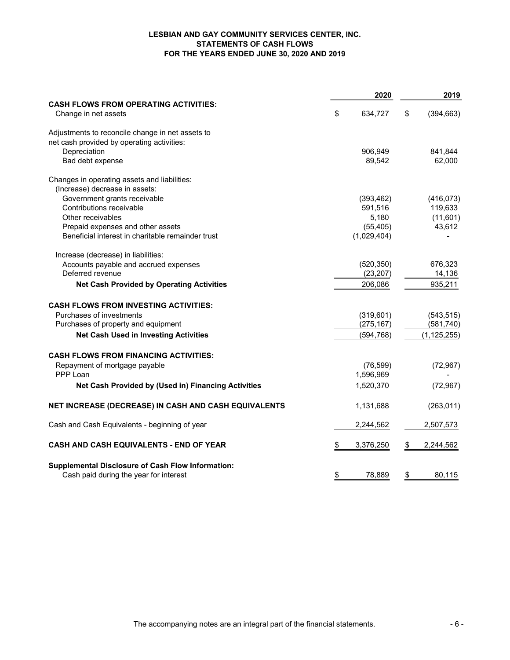#### LESBIAN AND GAY COMMUNITY SERVICES CENTER, INC. STATEMENTS OF CASH FLOWS FOR THE YEARS ENDED JUNE 30, 2020 AND 2019

|                                                                      | 2020            | 2019             |
|----------------------------------------------------------------------|-----------------|------------------|
| <b>CASH FLOWS FROM OPERATING ACTIVITIES:</b><br>Change in net assets | \$<br>634,727   | \$<br>(394, 663) |
| Adjustments to reconcile change in net assets to                     |                 |                  |
| net cash provided by operating activities:                           |                 |                  |
| Depreciation                                                         | 906,949         | 841,844          |
| Bad debt expense                                                     | 89,542          | 62,000           |
| Changes in operating assets and liabilities:                         |                 |                  |
| (Increase) decrease in assets:                                       |                 |                  |
| Government grants receivable                                         | (393, 462)      | (416, 073)       |
| Contributions receivable                                             | 591,516         | 119,633          |
| Other receivables                                                    | 5,180           | (11,601)         |
| Prepaid expenses and other assets                                    | (55, 405)       | 43,612           |
| Beneficial interest in charitable remainder trust                    | (1,029,404)     |                  |
| Increase (decrease) in liabilities:                                  |                 |                  |
| Accounts payable and accrued expenses                                | (520, 350)      | 676,323          |
| Deferred revenue                                                     | (23, 207)       | 14,136           |
| <b>Net Cash Provided by Operating Activities</b>                     | 206,086         | 935,211          |
| <b>CASH FLOWS FROM INVESTING ACTIVITIES:</b>                         |                 |                  |
| Purchases of investments                                             | (319, 601)      | (543, 515)       |
| Purchases of property and equipment                                  | (275, 167)      | (581, 740)       |
| <b>Net Cash Used in Investing Activities</b>                         | (594, 768)      | (1, 125, 255)    |
| <b>CASH FLOWS FROM FINANCING ACTIVITIES:</b>                         |                 |                  |
| Repayment of mortgage payable                                        | (76, 599)       | (72, 967)        |
| PPP Loan                                                             | 1,596,969       |                  |
| Net Cash Provided by (Used in) Financing Activities                  | 1,520,370       | (72, 967)        |
| NET INCREASE (DECREASE) IN CASH AND CASH EQUIVALENTS                 |                 | (263, 011)       |
|                                                                      | 1,131,688       |                  |
| Cash and Cash Equivalents - beginning of year                        | 2,244,562       | 2,507,573        |
| CASH AND CASH EQUIVALENTS - END OF YEAR                              | \$<br>3,376,250 | \$<br>2,244,562  |
| <b>Supplemental Disclosure of Cash Flow Information:</b>             |                 |                  |
| Cash paid during the year for interest                               | \$<br>78,889    | \$<br>80,115     |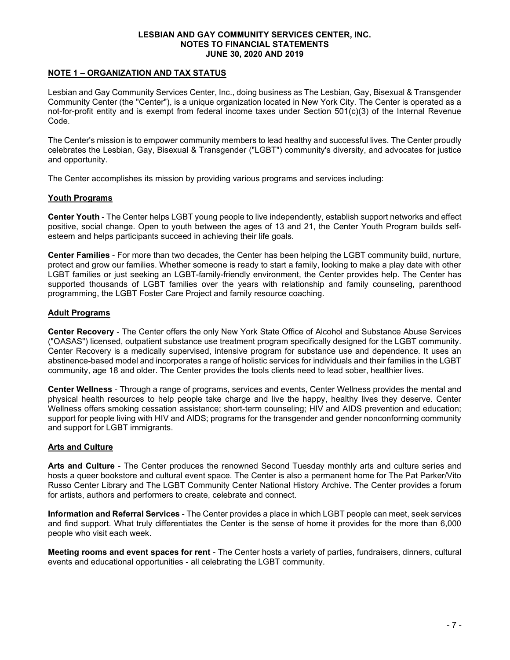#### NOTE 1 – ORGANIZATION AND TAX STATUS

Lesbian and Gay Community Services Center, Inc., doing business as The Lesbian, Gay, Bisexual & Transgender Community Center (the "Center"), is a unique organization located in New York City. The Center is operated as a not-for-profit entity and is exempt from federal income taxes under Section 501(c)(3) of the Internal Revenue Code.

The Center's mission is to empower community members to lead healthy and successful lives. The Center proudly celebrates the Lesbian, Gay, Bisexual & Transgender ("LGBT") community's diversity, and advocates for justice and opportunity.

The Center accomplishes its mission by providing various programs and services including:

#### Youth Programs

Center Youth - The Center helps LGBT young people to live independently, establish support networks and effect positive, social change. Open to youth between the ages of 13 and 21, the Center Youth Program builds selfesteem and helps participants succeed in achieving their life goals.

Center Families - For more than two decades, the Center has been helping the LGBT community build, nurture, protect and grow our families. Whether someone is ready to start a family, looking to make a play date with other LGBT families or just seeking an LGBT-family-friendly environment, the Center provides help. The Center has supported thousands of LGBT families over the years with relationship and family counseling, parenthood programming, the LGBT Foster Care Project and family resource coaching.

#### Adult Programs

Center Recovery - The Center offers the only New York State Office of Alcohol and Substance Abuse Services ("OASAS") licensed, outpatient substance use treatment program specifically designed for the LGBT community. Center Recovery is a medically supervised, intensive program for substance use and dependence. It uses an abstinence-based model and incorporates a range of holistic services for individuals and their families in the LGBT community, age 18 and older. The Center provides the tools clients need to lead sober, healthier lives.

Center Wellness - Through a range of programs, services and events, Center Wellness provides the mental and physical health resources to help people take charge and live the happy, healthy lives they deserve. Center Wellness offers smoking cessation assistance; short-term counseling; HIV and AIDS prevention and education; support for people living with HIV and AIDS; programs for the transgender and gender nonconforming community and support for LGBT immigrants.

### Arts and Culture

Arts and Culture - The Center produces the renowned Second Tuesday monthly arts and culture series and hosts a queer bookstore and cultural event space. The Center is also a permanent home for The Pat Parker/Vito Russo Center Library and The LGBT Community Center National History Archive. The Center provides a forum for artists, authors and performers to create, celebrate and connect.

Information and Referral Services - The Center provides a place in which LGBT people can meet, seek services and find support. What truly differentiates the Center is the sense of home it provides for the more than 6,000 people who visit each week.

Meeting rooms and event spaces for rent - The Center hosts a variety of parties, fundraisers, dinners, cultural events and educational opportunities - all celebrating the LGBT community.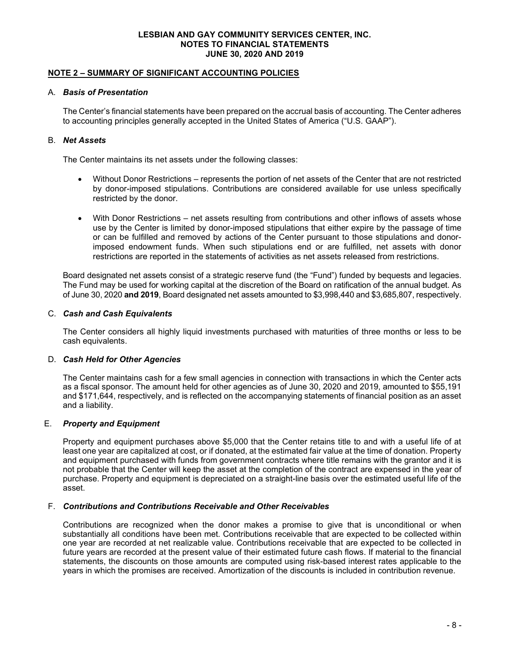#### NOTE 2 – SUMMARY OF SIGNIFICANT ACCOUNTING POLICIES

#### A. Basis of Presentation

The Center's financial statements have been prepared on the accrual basis of accounting. The Center adheres to accounting principles generally accepted in the United States of America ("U.S. GAAP").

#### B. Net Assets

The Center maintains its net assets under the following classes:

- Without Donor Restrictions represents the portion of net assets of the Center that are not restricted by donor-imposed stipulations. Contributions are considered available for use unless specifically restricted by the donor.
- With Donor Restrictions net assets resulting from contributions and other inflows of assets whose use by the Center is limited by donor-imposed stipulations that either expire by the passage of time or can be fulfilled and removed by actions of the Center pursuant to those stipulations and donorimposed endowment funds. When such stipulations end or are fulfilled, net assets with donor restrictions are reported in the statements of activities as net assets released from restrictions.

Board designated net assets consist of a strategic reserve fund (the "Fund") funded by bequests and legacies. The Fund may be used for working capital at the discretion of the Board on ratification of the annual budget. As of June 30, 2020 and 2019, Board designated net assets amounted to \$3,998,440 and \$3,685,807, respectively.

#### C. Cash and Cash Equivalents

The Center considers all highly liquid investments purchased with maturities of three months or less to be cash equivalents.

### D. Cash Held for Other Agencies

The Center maintains cash for a few small agencies in connection with transactions in which the Center acts as a fiscal sponsor. The amount held for other agencies as of June 30, 2020 and 2019, amounted to \$55,191 and \$171,644, respectively, and is reflected on the accompanying statements of financial position as an asset and a liability.

### E. Property and Equipment

Property and equipment purchases above \$5,000 that the Center retains title to and with a useful life of at least one year are capitalized at cost, or if donated, at the estimated fair value at the time of donation. Property and equipment purchased with funds from government contracts where title remains with the grantor and it is not probable that the Center will keep the asset at the completion of the contract are expensed in the year of purchase. Property and equipment is depreciated on a straight-line basis over the estimated useful life of the asset.

#### F. Contributions and Contributions Receivable and Other Receivables

Contributions are recognized when the donor makes a promise to give that is unconditional or when substantially all conditions have been met. Contributions receivable that are expected to be collected within one year are recorded at net realizable value. Contributions receivable that are expected to be collected in future years are recorded at the present value of their estimated future cash flows. If material to the financial statements, the discounts on those amounts are computed using risk-based interest rates applicable to the years in which the promises are received. Amortization of the discounts is included in contribution revenue.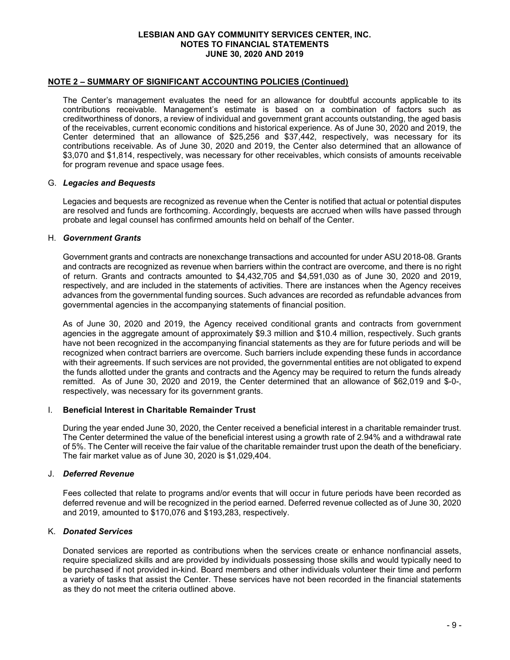#### NOTE 2 – SUMMARY OF SIGNIFICANT ACCOUNTING POLICIES (Continued)

The Center's management evaluates the need for an allowance for doubtful accounts applicable to its contributions receivable. Management's estimate is based on a combination of factors such as creditworthiness of donors, a review of individual and government grant accounts outstanding, the aged basis of the receivables, current economic conditions and historical experience. As of June 30, 2020 and 2019, the Center determined that an allowance of \$25,256 and \$37,442, respectively, was necessary for its contributions receivable. As of June 30, 2020 and 2019, the Center also determined that an allowance of \$3,070 and \$1,814, respectively, was necessary for other receivables, which consists of amounts receivable for program revenue and space usage fees.

#### G. Legacies and Bequests

Legacies and bequests are recognized as revenue when the Center is notified that actual or potential disputes are resolved and funds are forthcoming. Accordingly, bequests are accrued when wills have passed through probate and legal counsel has confirmed amounts held on behalf of the Center.

#### H. Government Grants

Government grants and contracts are nonexchange transactions and accounted for under ASU 2018-08. Grants and contracts are recognized as revenue when barriers within the contract are overcome, and there is no right of return. Grants and contracts amounted to \$4,432,705 and \$4,591,030 as of June 30, 2020 and 2019, respectively, and are included in the statements of activities. There are instances when the Agency receives advances from the governmental funding sources. Such advances are recorded as refundable advances from governmental agencies in the accompanying statements of financial position.

As of June 30, 2020 and 2019, the Agency received conditional grants and contracts from government agencies in the aggregate amount of approximately \$9.3 million and \$10.4 million, respectively. Such grants have not been recognized in the accompanying financial statements as they are for future periods and will be recognized when contract barriers are overcome. Such barriers include expending these funds in accordance with their agreements. If such services are not provided, the governmental entities are not obligated to expend the funds allotted under the grants and contracts and the Agency may be required to return the funds already remitted. As of June 30, 2020 and 2019, the Center determined that an allowance of \$62,019 and \$-0-, respectively, was necessary for its government grants.

#### I. Beneficial Interest in Charitable Remainder Trust

During the year ended June 30, 2020, the Center received a beneficial interest in a charitable remainder trust. The Center determined the value of the beneficial interest using a growth rate of 2.94% and a withdrawal rate of 5%. The Center will receive the fair value of the charitable remainder trust upon the death of the beneficiary. The fair market value as of June 30, 2020 is \$1,029,404.

#### J. Deferred Revenue

Fees collected that relate to programs and/or events that will occur in future periods have been recorded as deferred revenue and will be recognized in the period earned. Deferred revenue collected as of June 30, 2020 and 2019, amounted to \$170,076 and \$193,283, respectively.

#### K. Donated Services

Donated services are reported as contributions when the services create or enhance nonfinancial assets, require specialized skills and are provided by individuals possessing those skills and would typically need to be purchased if not provided in-kind. Board members and other individuals volunteer their time and perform a variety of tasks that assist the Center. These services have not been recorded in the financial statements as they do not meet the criteria outlined above.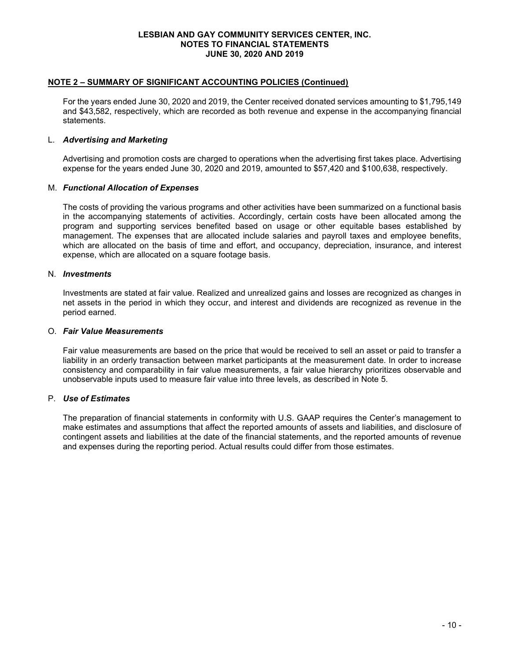#### NOTE 2 – SUMMARY OF SIGNIFICANT ACCOUNTING POLICIES (Continued)

For the years ended June 30, 2020 and 2019, the Center received donated services amounting to \$1,795,149 and \$43,582, respectively, which are recorded as both revenue and expense in the accompanying financial statements.

#### L. Advertising and Marketing

Advertising and promotion costs are charged to operations when the advertising first takes place. Advertising expense for the years ended June 30, 2020 and 2019, amounted to \$57,420 and \$100,638, respectively.

#### M. Functional Allocation of Expenses

The costs of providing the various programs and other activities have been summarized on a functional basis in the accompanying statements of activities. Accordingly, certain costs have been allocated among the program and supporting services benefited based on usage or other equitable bases established by management. The expenses that are allocated include salaries and payroll taxes and employee benefits, which are allocated on the basis of time and effort, and occupancy, depreciation, insurance, and interest expense, which are allocated on a square footage basis.

#### N. Investments

Investments are stated at fair value. Realized and unrealized gains and losses are recognized as changes in net assets in the period in which they occur, and interest and dividends are recognized as revenue in the period earned.

#### O. Fair Value Measurements

Fair value measurements are based on the price that would be received to sell an asset or paid to transfer a liability in an orderly transaction between market participants at the measurement date. In order to increase consistency and comparability in fair value measurements, a fair value hierarchy prioritizes observable and unobservable inputs used to measure fair value into three levels, as described in Note 5.

### P. Use of Estimates

The preparation of financial statements in conformity with U.S. GAAP requires the Center's management to make estimates and assumptions that affect the reported amounts of assets and liabilities, and disclosure of contingent assets and liabilities at the date of the financial statements, and the reported amounts of revenue and expenses during the reporting period. Actual results could differ from those estimates.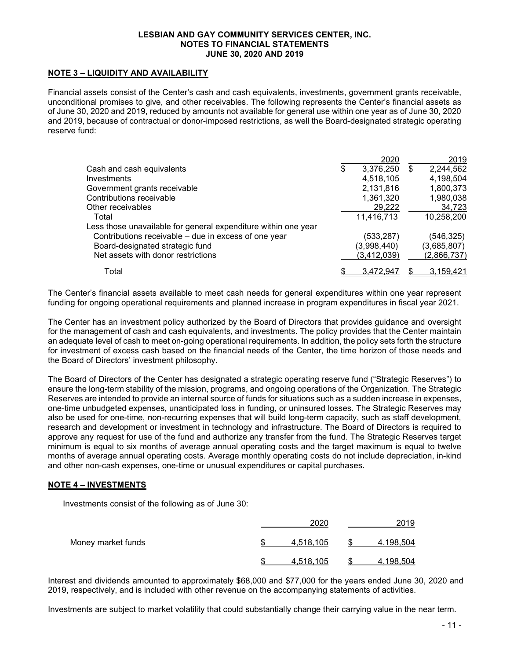#### NOTE 3 – LIQUIDITY AND AVAILABILITY

Financial assets consist of the Center's cash and cash equivalents, investments, government grants receivable, unconditional promises to give, and other receivables. The following represents the Center's financial assets as of June 30, 2020 and 2019, reduced by amounts not available for general use within one year as of June 30, 2020 and 2019, because of contractual or donor-imposed restrictions, as well the Board-designated strategic operating reserve fund:

|                                                                | 2020            |   | 2019        |
|----------------------------------------------------------------|-----------------|---|-------------|
| Cash and cash equivalents                                      | \$<br>3,376,250 | S | 2,244,562   |
| Investments                                                    | 4,518,105       |   | 4,198,504   |
| Government grants receivable                                   | 2,131,816       |   | 1,800,373   |
| Contributions receivable                                       | 1,361,320       |   | 1,980,038   |
| Other receivables                                              | 29,222          |   | 34,723      |
| Total                                                          | 11,416,713      |   | 10,258,200  |
| Less those unavailable for general expenditure within one year |                 |   |             |
| Contributions receivable – due in excess of one year           | (533, 287)      |   | (546,325)   |
| Board-designated strategic fund                                | (3,998,440)     |   | (3,685,807) |
| Net assets with donor restrictions                             | (3, 412, 039)   |   | (2,866,737) |
| Total                                                          | 3.472.947       |   | 3,159,421   |

The Center's financial assets available to meet cash needs for general expenditures within one year represent funding for ongoing operational requirements and planned increase in program expenditures in fiscal year 2021.

The Center has an investment policy authorized by the Board of Directors that provides guidance and oversight for the management of cash and cash equivalents, and investments. The policy provides that the Center maintain an adequate level of cash to meet on-going operational requirements. In addition, the policy sets forth the structure for investment of excess cash based on the financial needs of the Center, the time horizon of those needs and the Board of Directors' investment philosophy.

The Board of Directors of the Center has designated a strategic operating reserve fund ("Strategic Reserves") to ensure the long-term stability of the mission, programs, and ongoing operations of the Organization. The Strategic Reserves are intended to provide an internal source of funds for situations such as a sudden increase in expenses, one-time unbudgeted expenses, unanticipated loss in funding, or uninsured losses. The Strategic Reserves may also be used for one-time, non-recurring expenses that will build long-term capacity, such as staff development, research and development or investment in technology and infrastructure. The Board of Directors is required to approve any request for use of the fund and authorize any transfer from the fund. The Strategic Reserves target minimum is equal to six months of average annual operating costs and the target maximum is equal to twelve months of average annual operating costs. Average monthly operating costs do not include depreciation, in-kind and other non-cash expenses, one-time or unusual expenditures or capital purchases.

#### NOTE 4 – INVESTMENTS

Investments consist of the following as of June 30:

|                    | 2020      | 2019      |
|--------------------|-----------|-----------|
| Money market funds | 4,518,105 | 4,198,504 |
|                    | 4.518.105 | 4.198.504 |

Interest and dividends amounted to approximately \$68,000 and \$77,000 for the years ended June 30, 2020 and 2019, respectively, and is included with other revenue on the accompanying statements of activities.

Investments are subject to market volatility that could substantially change their carrying value in the near term.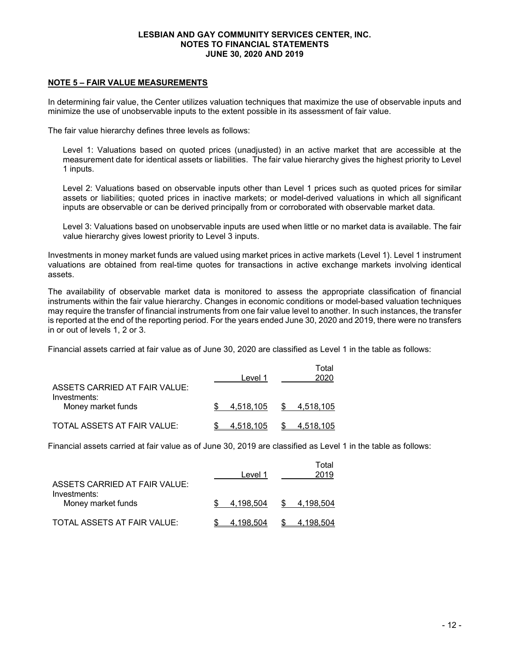#### NOTE 5 – FAIR VALUE MEASUREMENTS

In determining fair value, the Center utilizes valuation techniques that maximize the use of observable inputs and minimize the use of unobservable inputs to the extent possible in its assessment of fair value.

The fair value hierarchy defines three levels as follows:

Level 1: Valuations based on quoted prices (unadjusted) in an active market that are accessible at the measurement date for identical assets or liabilities. The fair value hierarchy gives the highest priority to Level 1 inputs.

Level 2: Valuations based on observable inputs other than Level 1 prices such as quoted prices for similar assets or liabilities; quoted prices in inactive markets; or model-derived valuations in which all significant inputs are observable or can be derived principally from or corroborated with observable market data.

Level 3: Valuations based on unobservable inputs are used when little or no market data is available. The fair value hierarchy gives lowest priority to Level 3 inputs.

Investments in money market funds are valued using market prices in active markets (Level 1). Level 1 instrument valuations are obtained from real-time quotes for transactions in active exchange markets involving identical assets.

The availability of observable market data is monitored to assess the appropriate classification of financial instruments within the fair value hierarchy. Changes in economic conditions or model-based valuation techniques may require the transfer of financial instruments from one fair value level to another. In such instances, the transfer is reported at the end of the reporting period. For the years ended June 30, 2020 and 2019, there were no transfers in or out of levels 1, 2 or 3.

Financial assets carried at fair value as of June 30, 2020 are classified as Level 1 in the table as follows:

| ASSETS CARRIED AT FAIR VALUE:      | Level 1   | Total<br>2020 |
|------------------------------------|-----------|---------------|
| Investments:<br>Money market funds | 4.518.105 | \$4,518,105   |
| TOTAL ASSETS AT FAIR VALUE:        | 4,518,105 | \$4,518,105   |

Financial assets carried at fair value as of June 30, 2019 are classified as Level 1 in the table as follows:

| <b>ASSETS CARRIED AT FAIR VALUE:</b> | Level 1   | Total<br>2019 |
|--------------------------------------|-----------|---------------|
| Investments:<br>Money market funds   | 4.198.504 | \$4,198,504   |
| TOTAL ASSETS AT FAIR VALUE:          | 4.198.504 | 4.198,504     |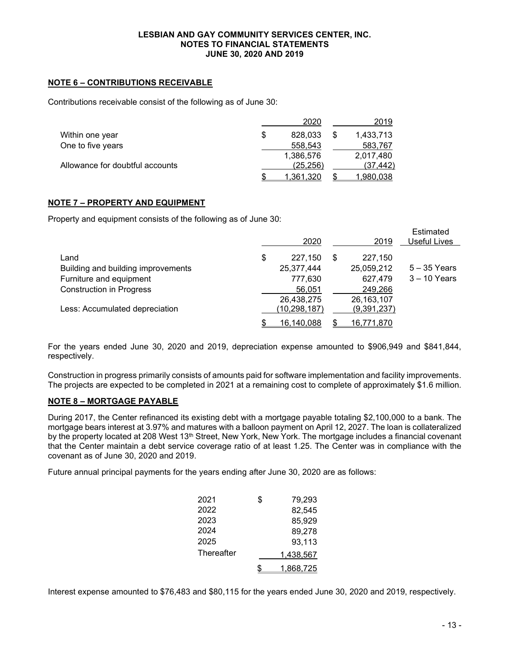### NOTE 6 – CONTRIBUTIONS RECEIVABLE

Contributions receivable consist of the following as of June 30:

|                                 | 2020      | 2019             |
|---------------------------------|-----------|------------------|
| Within one year                 | 828,033   | 1,433,713        |
| One to five years               | 558.543   | 583,767          |
|                                 | 1,386,576 | 2,017,480        |
| Allowance for doubtful accounts | (25, 256) | (37.442)         |
|                                 | 1.361.320 | <u>1,980,038</u> |

#### NOTE 7 – PROPERTY AND EQUIPMENT

Property and equipment consists of the following as of June 30:

|                                    | 2020             |   | 2019         | <b>Estimated</b><br>Useful Lives |
|------------------------------------|------------------|---|--------------|----------------------------------|
| Land                               | \$<br>227,150    | S | 227.150      |                                  |
| Building and building improvements | 25,377,444       |   | 25,059,212   | $5 - 35$ Years                   |
| Furniture and equipment            | 777,630          |   | 627,479      | $3 - 10$ Years                   |
| <b>Construction in Progress</b>    | 56,051           |   | 249,266      |                                  |
|                                    | 26,438,275       |   | 26, 163, 107 |                                  |
| Less: Accumulated depreciation     | (10, 298, 187)   |   | (9,391,237)  |                                  |
|                                    | \$<br>16.140.088 |   | 16.771.870   |                                  |

For the years ended June 30, 2020 and 2019, depreciation expense amounted to \$906,949 and \$841,844, respectively.

Construction in progress primarily consists of amounts paid for software implementation and facility improvements. The projects are expected to be completed in 2021 at a remaining cost to complete of approximately \$1.6 million.

### NOTE 8 – MORTGAGE PAYABLE

During 2017, the Center refinanced its existing debt with a mortgage payable totaling \$2,100,000 to a bank. The mortgage bears interest at 3.97% and matures with a balloon payment on April 12, 2027. The loan is collateralized by the property located at 208 West 13<sup>th</sup> Street, New York, New York. The mortgage includes a financial covenant that the Center maintain a debt service coverage ratio of at least 1.25. The Center was in compliance with the covenant as of June 30, 2020 and 2019.

Future annual principal payments for the years ending after June 30, 2020 are as follows:

| 2021       | \$<br>79,293 |
|------------|--------------|
| 2022       | 82,545       |
| 2023       | 85,929       |
| 2024       | 89,278       |
| 2025       | 93,113       |
| Thereafter | 1,438,567    |
|            | 1,868,725    |

Interest expense amounted to \$76,483 and \$80,115 for the years ended June 30, 2020 and 2019, respectively.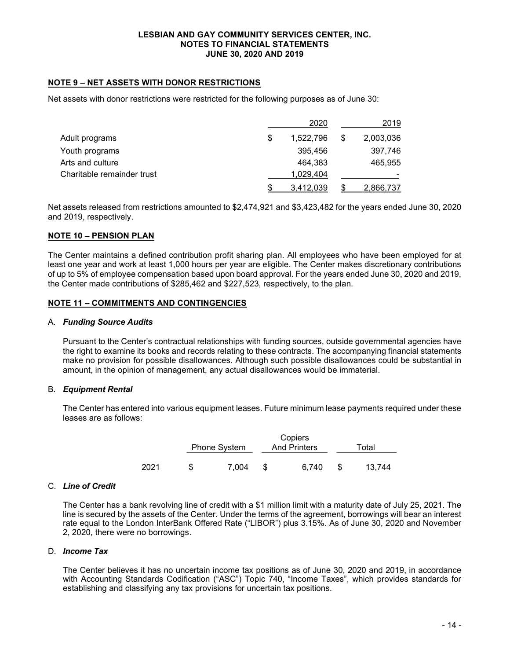### NOTE 9 – NET ASSETS WITH DONOR RESTRICTIONS

Net assets with donor restrictions were restricted for the following purposes as of June 30:

|                            |   | 2020      |   | 2019      |
|----------------------------|---|-----------|---|-----------|
| Adult programs             | S | 1,522,796 | S | 2,003,036 |
| Youth programs             |   | 395.456   |   | 397,746   |
| Arts and culture           |   | 464.383   |   | 465,955   |
| Charitable remainder trust |   | 1,029,404 |   |           |
|                            |   | 3,412,039 |   | 2,866,737 |

Net assets released from restrictions amounted to \$2,474,921 and \$3,423,482 for the years ended June 30, 2020 and 2019, respectively.

### NOTE 10 – PENSION PLAN

The Center maintains a defined contribution profit sharing plan. All employees who have been employed for at least one year and work at least 1,000 hours per year are eligible. The Center makes discretionary contributions of up to 5% of employee compensation based upon board approval. For the years ended June 30, 2020 and 2019, the Center made contributions of \$285,462 and \$227,523, respectively, to the plan.

#### NOTE 11 – COMMITMENTS AND CONTINGENCIES

#### A. Funding Source Audits

Pursuant to the Center's contractual relationships with funding sources, outside governmental agencies have the right to examine its books and records relating to these contracts. The accompanying financial statements make no provision for possible disallowances. Although such possible disallowances could be substantial in amount, in the opinion of management, any actual disallowances would be immaterial.

### B. Equipment Rental

The Center has entered into various equipment leases. Future minimum lease payments required under these leases are as follows:

|      | <b>Phone System</b> |       | Copiers<br><b>And Printers</b> |       | Total  |  |
|------|---------------------|-------|--------------------------------|-------|--------|--|
| 2021 |                     | 7.004 |                                | 6.740 | 13.744 |  |

### C. Line of Credit

The Center has a bank revolving line of credit with a \$1 million limit with a maturity date of July 25, 2021. The line is secured by the assets of the Center. Under the terms of the agreement, borrowings will bear an interest rate equal to the London InterBank Offered Rate ("LIBOR") plus 3.15%. As of June 30, 2020 and November 2, 2020, there were no borrowings.

#### D. Income Tax

The Center believes it has no uncertain income tax positions as of June 30, 2020 and 2019, in accordance with Accounting Standards Codification ("ASC") Topic 740, "Income Taxes", which provides standards for establishing and classifying any tax provisions for uncertain tax positions.